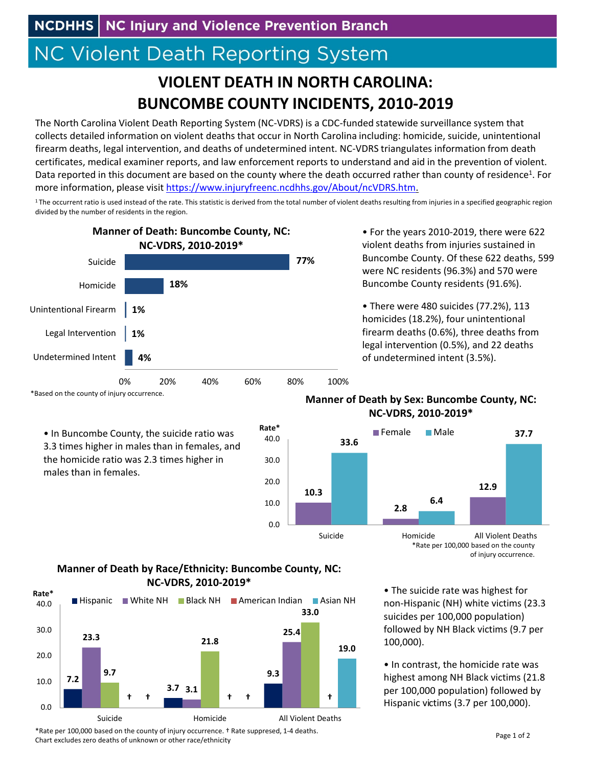# **NC Violent Death Reporting System**

## **VIOLENT DEATH IN NORTH CAROLINA: BUNCOMBE COUNTY INCIDENTS, 2010‐2019**

The North Carolina Violent Death Reporting System (NC‐VDRS) is a CDC‐funded statewide surveillance system that collects detailed information on violent deaths that occur in North Carolina including: homicide, suicide, unintentional firearm deaths, legal intervention, and deaths of undetermined intent. NC‐VDRS triangulates information from death certificates, medical examiner reports, and law enforcement reports to understand and aid in the prevention of violent. Data reported in this document are based on the county where the death occurred rather than county of residence<sup>1</sup>. For more information, please visit https://www.injuryfreenc.ncdhhs.gov/About/ncVDRS.htm.

<sup>1</sup>The occurrent ratio is used instead of the rate. This statistic is derived from the total number of violent deaths resulting from injuries in a specified geographic region divided by the number of residents in the region.

0.0

10.0

20.0

30.0

40.0



\*Based on the county of injury occurrence.

• In Buncombe County, the suicide ratio was 3.3 times higher in males than in females, and the homicide ratio was 2.3 times higher in males than in females.

• For the years 2010‐2019, there were 622 violent deaths from injuries sustained in Buncombe County. Of these 622 deaths, 599 were NC residents (96.3%) and 570 were Buncombe County residents (91.6%).

• There were 480 suicides (77.2%), 113 homicides (18.2%), four unintentional firearm deaths (0.6%), three deaths from legal intervention (0.5%), and 22 deaths of undetermined intent (3.5%).

#### **Manner of Death by Sex: Buncombe County, NC: NC‐VDRS, 2010‐2019\***



\*Rate per 100,000 based on the county of injury occurrence.

#### • The suicide rate was highest for non‐Hispanic (NH) white victims (23.3 suicides per 100,000 population) followed by NH Black victims (9.7 per 100,000).

• In contrast, the homicide rate was highest among NH Black victims (21.8 per 100,000 population) followed by Hispanic victims (3.7 per 100,000).

### **Manner of Death by Race/Ethnicity: Buncombe County, NC: NC‐VDRS, 2010‐2019\***



\*Rate per 100,000 based on the county of injury occurrence. † Rate suppresed, 1‐4 deaths. Chart excludes zero deaths of unknown or other race/ethnicity